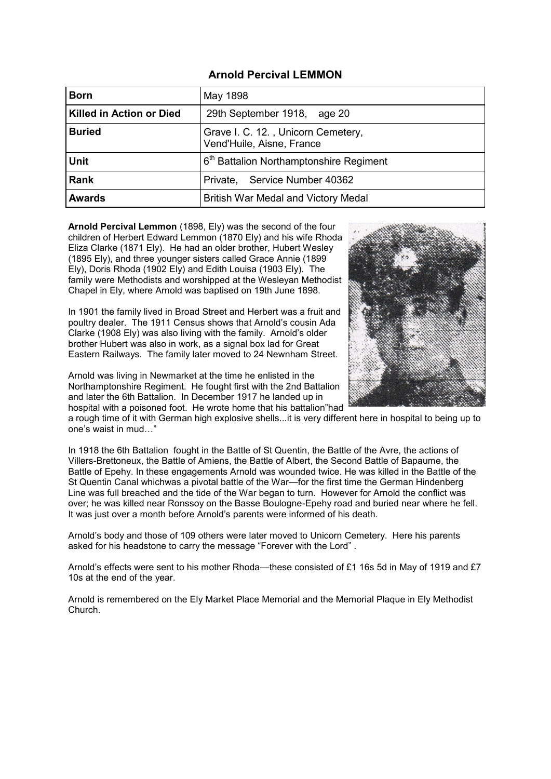#### **Arnold Percival LEMMON**

| <b>Born</b>                     | May 1898                                                        |
|---------------------------------|-----------------------------------------------------------------|
| <b>Killed in Action or Died</b> | 29th September 1918, age 20                                     |
| <b>Buried</b>                   | Grave I. C. 12., Unicorn Cemetery,<br>Vend'Huile, Aisne, France |
| <b>Unit</b>                     | 6 <sup>th</sup> Battalion Northamptonshire Regiment             |
| <b>Rank</b>                     | Private, Service Number 40362                                   |
| <b>Awards</b>                   | British War Medal and Victory Medal                             |

**Arnold Percival Lemmon** (1898, Ely) was the second of the four children of Herbert Edward Lemmon (1870 Ely) and his wife Rhoda Eliza Clarke (1871 Ely). He had an older brother, Hubert Wesley (1895 Ely), and three younger sisters called Grace Annie (1899 Ely), Doris Rhoda (1902 Ely) and Edith Louisa (1903 Ely). The family were Methodists and worshipped at the Wesleyan Methodist Chapel in Ely, where Arnold was baptised on 19th June 1898.

In 1901 the family lived in Broad Street and Herbert was a fruit and poultry dealer. The 1911 Census shows that Arnold's cousin Ada Clarke (1908 Ely) was also living with the family. Arnold's older brother Hubert was also in work, as a signal box lad for Great Eastern Railways. The family later moved to 24 Newnham Street.

Arnold was living in Newmarket at the time he enlisted in the Northamptonshire Regiment. He fought first with the 2nd Battalion and later the 6th Battalion. In December 1917 he landed up in hospital with a poisoned foot. He wrote home that his battalion"had



a rough time of it with German high explosive shells...it is very different here in hospital to being up to one's waist in mud…"

In 1918 the 6th Battalion fought in the Battle of St Quentin, the Battle of the Avre, the actions of Villers-Brettoneux, the Battle of Amiens, the Battle of Albert, the Second Battle of Bapaume, the Battle of Epehy. In these engagements Arnold was wounded twice. He was killed in the Battle of the St Quentin Canal whichwas a pivotal battle of the War—for the first time the German Hindenberg Line was full breached and the tide of the War began to turn. However for Arnold the conflict was over; he was killed near Ronssoy on the Basse Boulogne-Epehy road and buried near where he fell. It was just over a month before Arnold's parents were informed of his death.

Arnold's body and those of 109 others were later moved to Unicorn Cemetery. Here his parents asked for his headstone to carry the message "Forever with the Lord" .

Arnold's effects were sent to his mother Rhoda—these consisted of £1 16s 5d in May of 1919 and £7 10s at the end of the year.

Arnold is remembered on the Ely Market Place Memorial and the Memorial Plaque in Ely Methodist Church.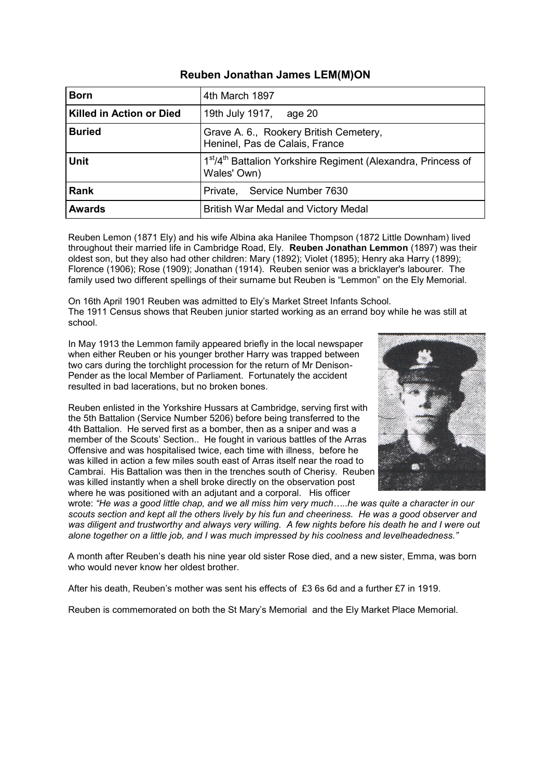# **Reuben Jonathan James LEM(M)ON**

| <b>Born</b>              | 4th March 1897                                                                                       |
|--------------------------|------------------------------------------------------------------------------------------------------|
| Killed in Action or Died | 19th July 1917, age 20                                                                               |
| <b>Buried</b>            | Grave A. 6., Rookery British Cemetery,<br>Heninel, Pas de Calais, France                             |
| Unit                     | 1 <sup>st</sup> /4 <sup>th</sup> Battalion Yorkshire Regiment (Alexandra, Princess of<br>Wales' Own) |
| <b>Rank</b>              | Private, Service Number 7630                                                                         |
| <b>Awards</b>            | British War Medal and Victory Medal                                                                  |

Reuben Lemon (1871 Ely) and his wife Albina aka Hanilee Thompson (1872 Little Downham) lived throughout their married life in Cambridge Road, Ely. **Reuben Jonathan Lemmon** (1897) was their oldest son, but they also had other children: Mary (1892); Violet (1895); Henry aka Harry (1899); Florence (1906); Rose (1909); Jonathan (1914). Reuben senior was a bricklayer's labourer. The family used two different spellings of their surname but Reuben is "Lemmon" on the Ely Memorial.

On 16th April 1901 Reuben was admitted to Ely's Market Street Infants School. The 1911 Census shows that Reuben junior started working as an errand boy while he was still at school.

In May 1913 the Lemmon family appeared briefly in the local newspaper when either Reuben or his younger brother Harry was trapped between two cars during the torchlight procession for the return of Mr Denison-Pender as the local Member of Parliament. Fortunately the accident resulted in bad lacerations, but no broken bones.

Reuben enlisted in the Yorkshire Hussars at Cambridge, serving first with the 5th Battalion (Service Number 5206) before being transferred to the 4th Battalion. He served first as a bomber, then as a sniper and was a member of the Scouts' Section.. He fought in various battles of the Arras Offensive and was hospitalised twice, each time with illness, before he was killed in action a few miles south east of Arras itself near the road to Cambrai. His Battalion was then in the trenches south of Cherisy. Reuben was killed instantly when a shell broke directly on the observation post where he was positioned with an adjutant and a corporal. His officer



wrote: *"He was a good little chap, and we all miss him very much…..he was quite a character in our scouts section and kept all the others lively by his fun and cheeriness. He was a good observer and was diligent and trustworthy and always very willing. A few nights before his death he and I were out alone together on a little job, and I was much impressed by his coolness and levelheadedness."*

A month after Reuben's death his nine year old sister Rose died, and a new sister, Emma, was born who would never know her oldest brother.

After his death, Reuben's mother was sent his effects of £3 6s 6d and a further £7 in 1919.

Reuben is commemorated on both the St Mary's Memorial and the Ely Market Place Memorial.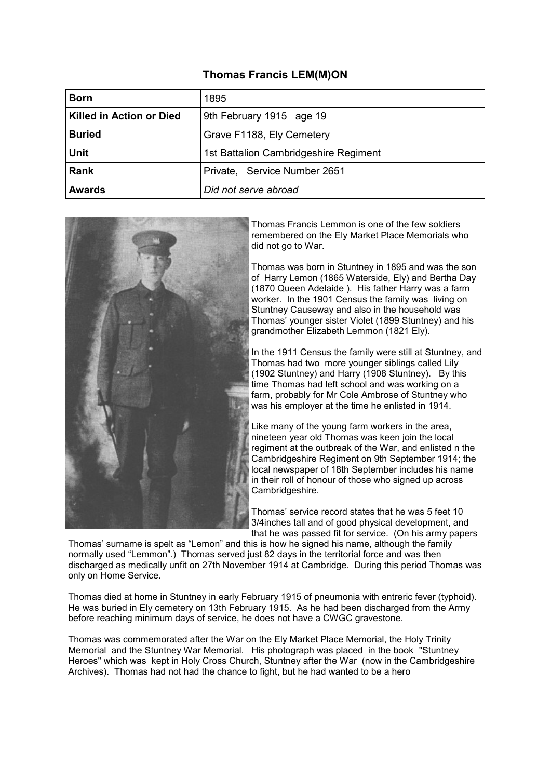# **Thomas Francis LEM(M)ON**

| <b>Born</b>              | 1895                                  |
|--------------------------|---------------------------------------|
| Killed in Action or Died | 9th February 1915 age 19              |
| <b>Buried</b>            | Grave F1188, Ely Cemetery             |
| <b>Unit</b>              | 1st Battalion Cambridgeshire Regiment |
| <b>Rank</b>              | Private, Service Number 2651          |
| <b>Awards</b>            | Did not serve abroad                  |



Thomas Francis Lemmon is one of the few soldiers remembered on the Ely Market Place Memorials who did not go to War.

Thomas was born in Stuntney in 1895 and was the son of Harry Lemon (1865 Waterside, Ely) and Bertha Day (1870 Queen Adelaide ). His father Harry was a farm worker. In the 1901 Census the family was living on Stuntney Causeway and also in the household was Thomas' younger sister Violet (1899 Stuntney) and his grandmother Elizabeth Lemmon (1821 Ely).

In the 1911 Census the family were still at Stuntney, and Thomas had two more younger siblings called Lily (1902 Stuntney) and Harry (1908 Stuntney). By this time Thomas had left school and was working on a farm, probably for Mr Cole Ambrose of Stuntney who was his employer at the time he enlisted in 1914.

Like many of the young farm workers in the area, nineteen year old Thomas was keen join the local regiment at the outbreak of the War, and enlisted n the Cambridgeshire Regiment on 9th September 1914; the local newspaper of 18th September includes his name in their roll of honour of those who signed up across Cambridgeshire.

Thomas' service record states that he was 5 feet 10 3/4inches tall and of good physical development, and that he was passed fit for service. (On his army papers

Thomas' surname is spelt as "Lemon" and this is how he signed his name, although the family normally used "Lemmon".) Thomas served just 82 days in the territorial force and was then discharged as medically unfit on 27th November 1914 at Cambridge. During this period Thomas was only on Home Service.

Thomas died at home in Stuntney in early February 1915 of pneumonia with entreric fever (typhoid). He was buried in Ely cemetery on 13th February 1915. As he had been discharged from the Army before reaching minimum days of service, he does not have a CWGC gravestone.

Thomas was commemorated after the War on the Ely Market Place Memorial, the Holy Trinity Memorial and the Stuntney War Memorial. His photograph was placed in the book "Stuntney Heroes" which was kept in Holy Cross Church, Stuntney after the War (now in the Cambridgeshire Archives). Thomas had not had the chance to fight, but he had wanted to be a hero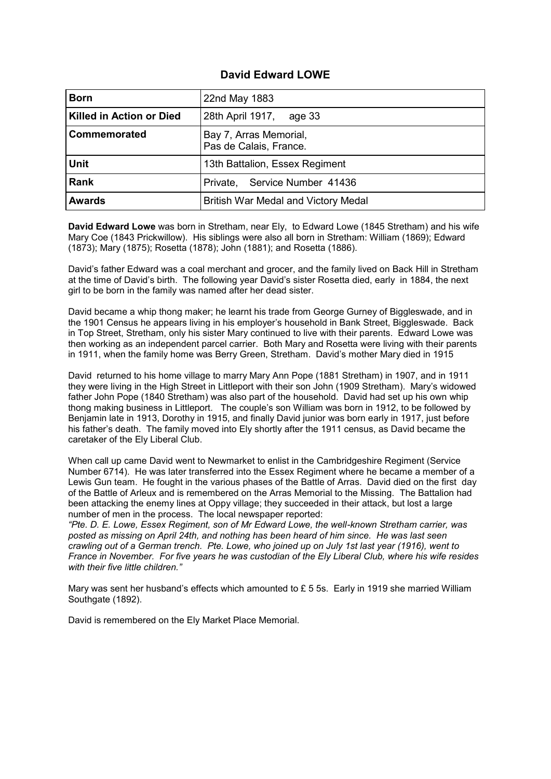## **David Edward LOWE**

| <b>Born</b>              | 22nd May 1883                                    |
|--------------------------|--------------------------------------------------|
| Killed in Action or Died | 28th April 1917,<br>age 33                       |
| Commemorated             | Bay 7, Arras Memorial,<br>Pas de Calais, France. |
| <b>Unit</b>              | 13th Battalion, Essex Regiment                   |
| <b>Rank</b>              | Private, Service Number 41436                    |
| <b>Awards</b>            | British War Medal and Victory Medal              |

**David Edward Lowe** was born in Stretham, near Ely, to Edward Lowe (1845 Stretham) and his wife Mary Coe (1843 Prickwillow). His siblings were also all born in Stretham: William (1869); Edward (1873); Mary (1875); Rosetta (1878); John (1881); and Rosetta (1886).

David's father Edward was a coal merchant and grocer, and the family lived on Back Hill in Stretham at the time of David's birth. The following year David's sister Rosetta died, early in 1884, the next girl to be born in the family was named after her dead sister.

David became a whip thong maker; he learnt his trade from George Gurney of Biggleswade, and in the 1901 Census he appears living in his employer's household in Bank Street, Biggleswade. Back in Top Street, Stretham, only his sister Mary continued to live with their parents. Edward Lowe was then working as an independent parcel carrier. Both Mary and Rosetta were living with their parents in 1911, when the family home was Berry Green, Stretham. David's mother Mary died in 1915

David returned to his home village to marry Mary Ann Pope (1881 Stretham) in 1907, and in 1911 they were living in the High Street in Littleport with their son John (1909 Stretham). Mary's widowed father John Pope (1840 Stretham) was also part of the household. David had set up his own whip thong making business in Littleport. The couple's son William was born in 1912, to be followed by Benjamin late in 1913, Dorothy in 1915, and finally David junior was born early in 1917, just before his father's death. The family moved into Ely shortly after the 1911 census, as David became the caretaker of the Ely Liberal Club.

When call up came David went to Newmarket to enlist in the Cambridgeshire Regiment (Service Number 6714). He was later transferred into the Essex Regiment where he became a member of a Lewis Gun team. He fought in the various phases of the Battle of Arras. David died on the first day of the Battle of Arleux and is remembered on the Arras Memorial to the Missing. The Battalion had been attacking the enemy lines at Oppy village; they succeeded in their attack, but lost a large number of men in the process. The local newspaper reported:

*"Pte. D. E. Lowe, Essex Regiment, son of Mr Edward Lowe, the well-known Stretham carrier, was posted as missing on April 24th, and nothing has been heard of him since. He was last seen crawling out of a German trench. Pte. Lowe, who joined up on July 1st last year (1916), went to France in November. For five years he was custodian of the Ely Liberal Club, where his wife resides with their five little children."*

Mary was sent her husband's effects which amounted to £ 5 5s. Early in 1919 she married William Southgate (1892).

David is remembered on the Ely Market Place Memorial.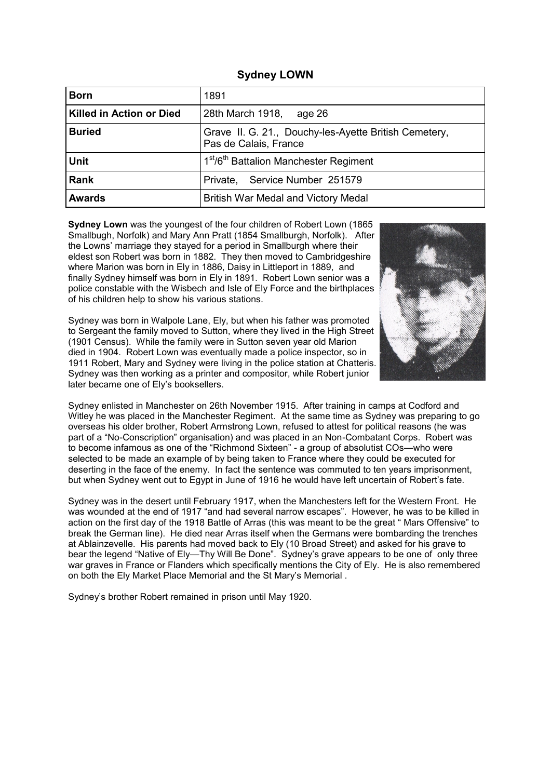| <b>Sydney LOWN</b> |  |
|--------------------|--|
|--------------------|--|

| <b>Born</b>                     | 1891                                                                           |
|---------------------------------|--------------------------------------------------------------------------------|
| <b>Killed in Action or Died</b> | 28th March 1918,<br>age 26                                                     |
| <b>Buried</b>                   | Grave II. G. 21., Douchy-les-Ayette British Cemetery,<br>Pas de Calais, France |
| <b>Unit</b>                     | 1 <sup>st</sup> /6 <sup>th</sup> Battalion Manchester Regiment                 |
| <b>Rank</b>                     | Private, Service Number 251579                                                 |
| <b>Awards</b>                   | British War Medal and Victory Medal                                            |

**Sydney Lown** was the youngest of the four children of Robert Lown (1865 Smallbugh, Norfolk) and Mary Ann Pratt (1854 Smallburgh, Norfolk). After the Lowns' marriage they stayed for a period in Smallburgh where their eldest son Robert was born in 1882. They then moved to Cambridgeshire where Marion was born in Ely in 1886, Daisy in Littleport in 1889, and finally Sydney himself was born in Ely in 1891. Robert Lown senior was a police constable with the Wisbech and Isle of Ely Force and the birthplaces of his children help to show his various stations.

Sydney was born in Walpole Lane, Ely, but when his father was promoted to Sergeant the family moved to Sutton, where they lived in the High Street (1901 Census). While the family were in Sutton seven year old Marion died in 1904. Robert Lown was eventually made a police inspector, so in 1911 Robert, Mary and Sydney were living in the police station at Chatteris. Sydney was then working as a printer and compositor, while Robert junior later became one of Ely's booksellers.



Sydney enlisted in Manchester on 26th November 1915. After training in camps at Codford and Witley he was placed in the Manchester Regiment. At the same time as Sydney was preparing to go overseas his older brother, Robert Armstrong Lown, refused to attest for political reasons (he was part of a "No-Conscription" organisation) and was placed in an Non-Combatant Corps. Robert was to become infamous as one of the "Richmond Sixteen" - a group of absolutist COs—who were selected to be made an example of by being taken to France where they could be executed for deserting in the face of the enemy. In fact the sentence was commuted to ten years imprisonment, but when Sydney went out to Egypt in June of 1916 he would have left uncertain of Robert's fate.

Sydney was in the desert until February 1917, when the Manchesters left for the Western Front. He was wounded at the end of 1917 "and had several narrow escapes". However, he was to be killed in action on the first day of the 1918 Battle of Arras (this was meant to be the great " Mars Offensive" to break the German line). He died near Arras itself when the Germans were bombarding the trenches at Ablainzevelle. His parents had moved back to Ely (10 Broad Street) and asked for his grave to bear the legend "Native of Ely—Thy Will Be Done". Sydney's grave appears to be one of only three war graves in France or Flanders which specifically mentions the City of Ely. He is also remembered on both the Ely Market Place Memorial and the St Mary's Memorial .

Sydney's brother Robert remained in prison until May 1920.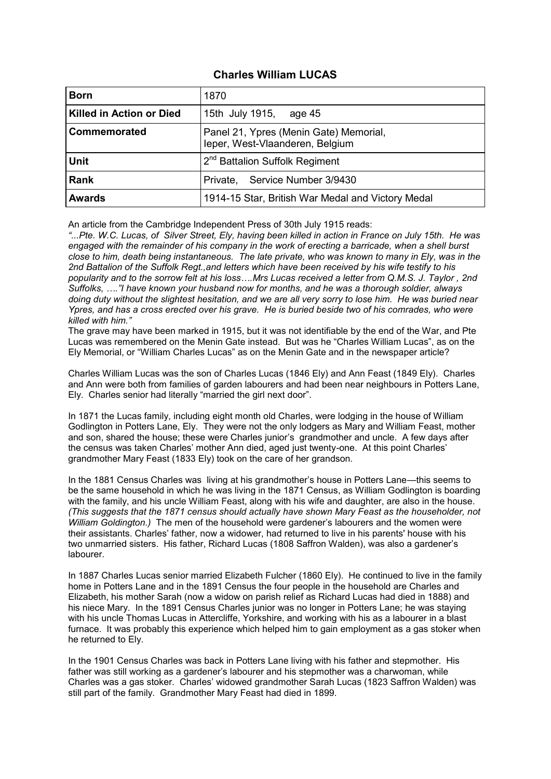## **Charles William LUCAS**

| <b>Born</b>              | 1870                                                                      |
|--------------------------|---------------------------------------------------------------------------|
| Killed in Action or Died | 15th July 1915, age 45                                                    |
| Commemorated             | Panel 21, Ypres (Menin Gate) Memorial,<br>leper, West-Vlaanderen, Belgium |
| <b>Unit</b>              | 2 <sup>nd</sup> Battalion Suffolk Regiment                                |
| <b>Rank</b>              | Private, Service Number 3/9430                                            |
| <b>Awards</b>            | 1914-15 Star, British War Medal and Victory Medal                         |

An article from the Cambridge Independent Press of 30th July 1915 reads:

*"...Pte. W.C. Lucas, of Silver Street, Ely, having been killed in action in France on July 15th. He was engaged with the remainder of his company in the work of erecting a barricade, when a shell burst close to him, death being instantaneous. The late private, who was known to many in Ely, was in the 2nd Battalion of the Suffolk Regt.,and letters which have been received by his wife testify to his popularity and to the sorrow felt at his loss….Mrs Lucas received a letter from Q.M.S. J. Taylor , 2nd Suffolks, …."I have known your husband now for months, and he was a thorough soldier, always doing duty without the slightest hesitation, and we are all very sorry to lose him. He was buried near Ypres, and has a cross erected over his grave. He is buried beside two of his comrades, who were killed with him."*

The grave may have been marked in 1915, but it was not identifiable by the end of the War, and Pte Lucas was remembered on the Menin Gate instead. But was he "Charles William Lucas", as on the Ely Memorial, or "William Charles Lucas" as on the Menin Gate and in the newspaper article?

Charles William Lucas was the son of Charles Lucas (1846 Ely) and Ann Feast (1849 Ely). Charles and Ann were both from families of garden labourers and had been near neighbours in Potters Lane, Ely. Charles senior had literally "married the girl next door".

In 1871 the Lucas family, including eight month old Charles, were lodging in the house of William Godlington in Potters Lane, Ely. They were not the only lodgers as Mary and William Feast, mother and son, shared the house; these were Charles junior's grandmother and uncle. A few days after the census was taken Charles' mother Ann died, aged just twenty-one. At this point Charles' grandmother Mary Feast (1833 Ely) took on the care of her grandson.

In the 1881 Census Charles was living at his grandmother's house in Potters Lane—this seems to be the same household in which he was living in the 1871 Census, as William Godlington is boarding with the family, and his uncle William Feast, along with his wife and daughter, are also in the house. *(This suggests that the 1871 census should actually have shown Mary Feast as the householder, not William Goldington.)* The men of the household were gardener's labourers and the women were their assistants. Charles' father, now a widower, had returned to live in his parents' house with his two unmarried sisters. His father, Richard Lucas (1808 Saffron Walden), was also a gardener's labourer.

In 1887 Charles Lucas senior married Elizabeth Fulcher (1860 Ely). He continued to live in the family home in Potters Lane and in the 1891 Census the four people in the household are Charles and Elizabeth, his mother Sarah (now a widow on parish relief as Richard Lucas had died in 1888) and his niece Mary. In the 1891 Census Charles junior was no longer in Potters Lane; he was staying with his uncle Thomas Lucas in Attercliffe, Yorkshire, and working with his as a labourer in a blast furnace. It was probably this experience which helped him to gain employment as a gas stoker when he returned to Ely.

In the 1901 Census Charles was back in Potters Lane living with his father and stepmother. His father was still working as a gardener's labourer and his stepmother was a charwoman, while Charles was a gas stoker. Charles' widowed grandmother Sarah Lucas (1823 Saffron Walden) was still part of the family. Grandmother Mary Feast had died in 1899.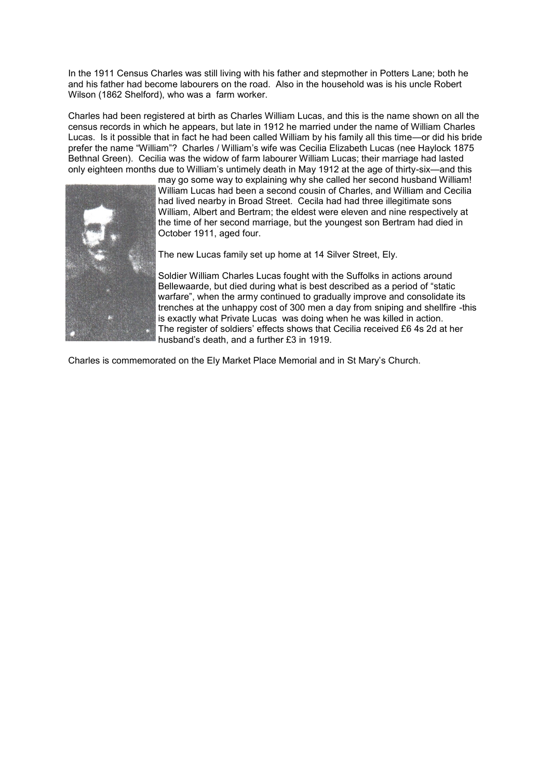In the 1911 Census Charles was still living with his father and stepmother in Potters Lane; both he and his father had become labourers on the road. Also in the household was is his uncle Robert Wilson (1862 Shelford), who was a farm worker.

Charles had been registered at birth as Charles William Lucas, and this is the name shown on all the census records in which he appears, but late in 1912 he married under the name of William Charles Lucas. Is it possible that in fact he had been called William by his family all this time—or did his bride prefer the name "William"? Charles / William's wife was Cecilia Elizabeth Lucas (nee Haylock 1875 Bethnal Green). Cecilia was the widow of farm labourer William Lucas; their marriage had lasted only eighteen months due to William's untimely death in May 1912 at the age of thirty-six—and this



may go some way to explaining why she called her second husband William! William Lucas had been a second cousin of Charles, and William and Cecilia had lived nearby in Broad Street. Cecila had had three illegitimate sons William, Albert and Bertram; the eldest were eleven and nine respectively at the time of her second marriage, but the youngest son Bertram had died in October 1911, aged four.

The new Lucas family set up home at 14 Silver Street, Ely.

Soldier William Charles Lucas fought with the Suffolks in actions around Bellewaarde, but died during what is best described as a period of "static warfare", when the army continued to gradually improve and consolidate its trenches at the unhappy cost of 300 men a day from sniping and shellfire -this is exactly what Private Lucas was doing when he was killed in action. The register of soldiers' effects shows that Cecilia received £6 4s 2d at her husband's death, and a further £3 in 1919.

Charles is commemorated on the Ely Market Place Memorial and in St Mary's Church.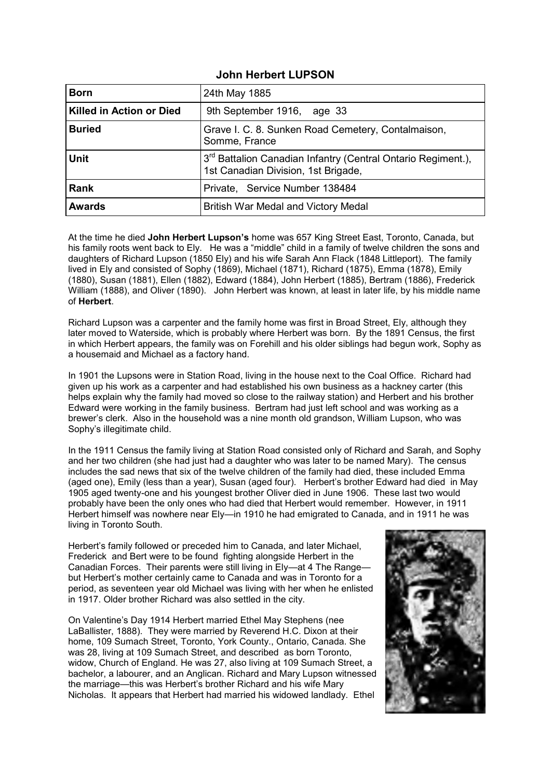#### **John Herbert LUPSON**

| <b>Born</b>              | 24th May 1885                                                                                                   |
|--------------------------|-----------------------------------------------------------------------------------------------------------------|
| Killed in Action or Died | 9th September 1916, age 33                                                                                      |
| <b>Buried</b>            | Grave I. C. 8. Sunken Road Cemetery, Contalmaison,<br>Somme, France                                             |
| <b>Unit</b>              | 3 <sup>rd</sup> Battalion Canadian Infantry (Central Ontario Regiment.),<br>1st Canadian Division, 1st Brigade, |
| <b>Rank</b>              | Private, Service Number 138484                                                                                  |
| <b>Awards</b>            | British War Medal and Victory Medal                                                                             |

At the time he died **John Herbert Lupson's** home was 657 King Street East, Toronto, Canada, but his family roots went back to Ely. He was a "middle" child in a family of twelve children the sons and daughters of Richard Lupson (1850 Ely) and his wife Sarah Ann Flack (1848 Littleport). The family lived in Ely and consisted of Sophy (1869), Michael (1871), Richard (1875), Emma (1878), Emily (1880), Susan (1881), Ellen (1882), Edward (1884), John Herbert (1885), Bertram (1886), Frederick William (1888), and Oliver (1890). John Herbert was known, at least in later life, by his middle name of **Herbert**.

Richard Lupson was a carpenter and the family home was first in Broad Street, Ely, although they later moved to Waterside, which is probably where Herbert was born. By the 1891 Census, the first in which Herbert appears, the family was on Forehill and his older siblings had begun work, Sophy as a housemaid and Michael as a factory hand.

In 1901 the Lupsons were in Station Road, living in the house next to the Coal Office. Richard had given up his work as a carpenter and had established his own business as a hackney carter (this helps explain why the family had moved so close to the railway station) and Herbert and his brother Edward were working in the family business. Bertram had just left school and was working as a brewer's clerk. Also in the household was a nine month old grandson, William Lupson, who was Sophy's illegitimate child.

In the 1911 Census the family living at Station Road consisted only of Richard and Sarah, and Sophy and her two children (she had just had a daughter who was later to be named Mary). The census includes the sad news that six of the twelve children of the family had died, these included Emma (aged one), Emily (less than a year), Susan (aged four). Herbert's brother Edward had died in May 1905 aged twenty-one and his youngest brother Oliver died in June 1906. These last two would probably have been the only ones who had died that Herbert would remember. However, in 1911 Herbert himself was nowhere near Ely—in 1910 he had emigrated to Canada, and in 1911 he was living in Toronto South.

Herbert's family followed or preceded him to Canada, and later Michael, Frederick and Bert were to be found fighting alongside Herbert in the Canadian Forces. Their parents were still living in Ely—at 4 The Range but Herbert's mother certainly came to Canada and was in Toronto for a period, as seventeen year old Michael was living with her when he enlisted in 1917. Older brother Richard was also settled in the city.

On Valentine's Day 1914 Herbert married Ethel May Stephens (nee LaBallister, 1888). They were married by Reverend H.C. Dixon at their home, 109 Sumach Street, Toronto, York County., Ontario, Canada. She was 28, living at 109 Sumach Street, and described as born Toronto, widow, Church of England. He was 27, also living at 109 Sumach Street, a bachelor, a labourer, and an Anglican. Richard and Mary Lupson witnessed the marriage—this was Herbert's brother Richard and his wife Mary Nicholas. It appears that Herbert had married his widowed landlady. Ethel